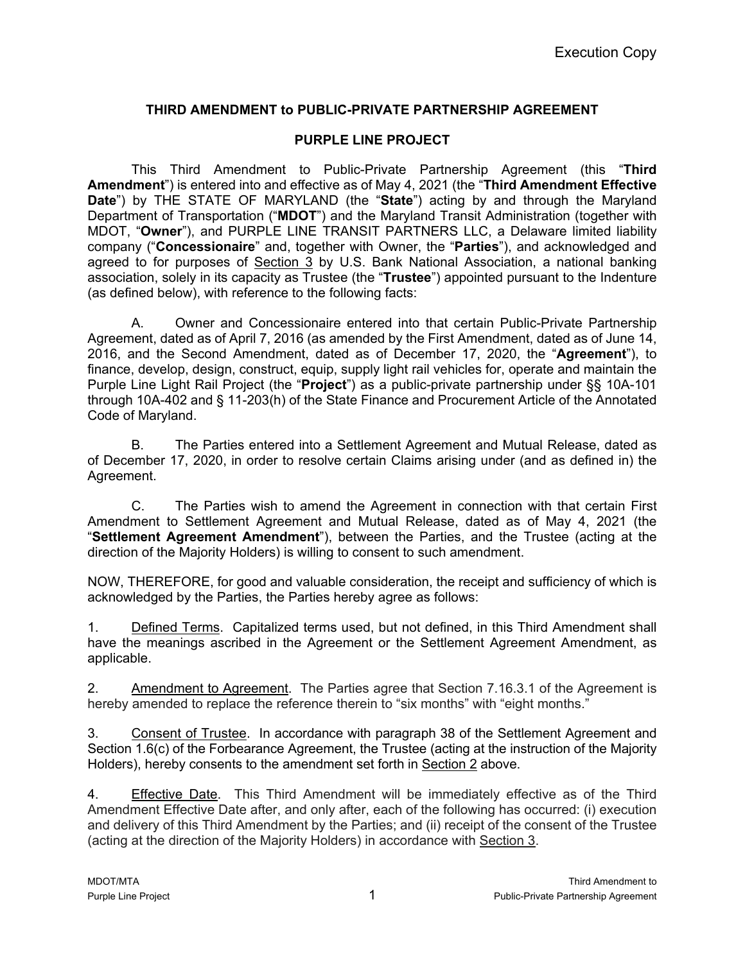## **THIRD AMENDMENT to PUBLIC-PRIVATE PARTNERSHIP AGREEMENT**

## **PURPLE LINE PROJECT**

This Third Amendment to Public-Private Partnership Agreement (this "**Third Amendment**") is entered into and effective as of May 4, 2021 (the "**Third Amendment Effective Date**") by THE STATE OF MARYLAND (the "**State**") acting by and through the Maryland Department of Transportation ("**MDOT**") and the Maryland Transit Administration (together with MDOT, "**Owner**"), and PURPLE LINE TRANSIT PARTNERS LLC, a Delaware limited liability company ("**Concessionaire**" and, together with Owner, the "**Parties**"), and acknowledged and agreed to for purposes of Section 3 by U.S. Bank National Association, a national banking association, solely in its capacity as Trustee (the "**Trustee**") appointed pursuant to the Indenture (as defined below), with reference to the following facts:

A. Owner and Concessionaire entered into that certain Public-Private Partnership Agreement, dated as of April 7, 2016 (as amended by the First Amendment, dated as of June 14, 2016, and the Second Amendment, dated as of December 17, 2020, the "**Agreement**"), to finance, develop, design, construct, equip, supply light rail vehicles for, operate and maintain the Purple Line Light Rail Project (the "**Project**") as a public-private partnership under §§ 10A-101 through 10A-402 and § 11-203(h) of the State Finance and Procurement Article of the Annotated Code of Maryland.

B. The Parties entered into a Settlement Agreement and Mutual Release, dated as of December 17, 2020, in order to resolve certain Claims arising under (and as defined in) the Agreement.

C. The Parties wish to amend the Agreement in connection with that certain First Amendment to Settlement Agreement and Mutual Release, dated as of May 4, 2021 (the "**Settlement Agreement Amendment**"), between the Parties, and the Trustee (acting at the direction of the Majority Holders) is willing to consent to such amendment.

NOW, THEREFORE, for good and valuable consideration, the receipt and sufficiency of which is acknowledged by the Parties, the Parties hereby agree as follows:

1. Defined Terms. Capitalized terms used, but not defined, in this Third Amendment shall have the meanings ascribed in the Agreement or the Settlement Agreement Amendment, as applicable.

2. Amendment to Agreement. The Parties agree that Section 7.16.3.1 of the Agreement is hereby amended to replace the reference therein to "six months" with "eight months."

3. Consent of Trustee. In accordance with paragraph 38 of the Settlement Agreement and Section 1.6(c) of the Forbearance Agreement, the Trustee (acting at the instruction of the Majority Holders), hereby consents to the amendment set forth in Section 2 above.

4. Effective Date. This Third Amendment will be immediately effective as of the Third Amendment Effective Date after, and only after, each of the following has occurred: (i) execution and delivery of this Third Amendment by the Parties; and (ii) receipt of the consent of the Trustee (acting at the direction of the Majority Holders) in accordance with Section 3.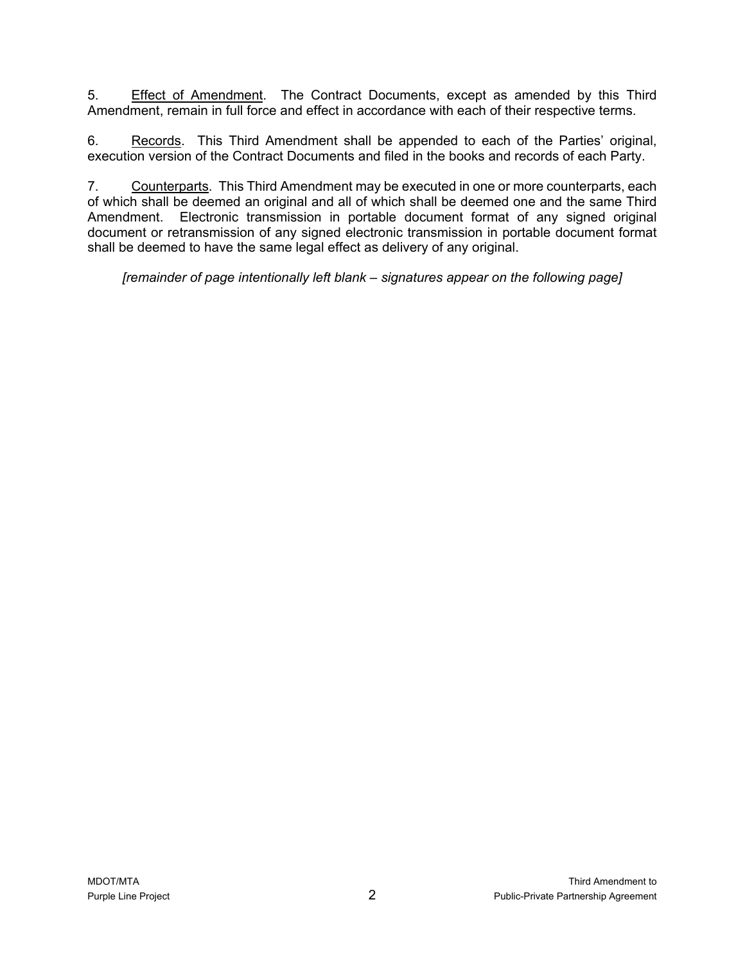5. Effect of Amendment. The Contract Documents, except as amended by this Third Amendment, remain in full force and effect in accordance with each of their respective terms.

6. Records. This Third Amendment shall be appended to each of the Parties' original, execution version of the Contract Documents and filed in the books and records of each Party.

7. Counterparts. This Third Amendment may be executed in one or more counterparts, each of which shall be deemed an original and all of which shall be deemed one and the same Third Amendment. Electronic transmission in portable document format of any signed original document or retransmission of any signed electronic transmission in portable document format shall be deemed to have the same legal effect as delivery of any original.

*[remainder of page intentionally left blank – signatures appear on the following page]*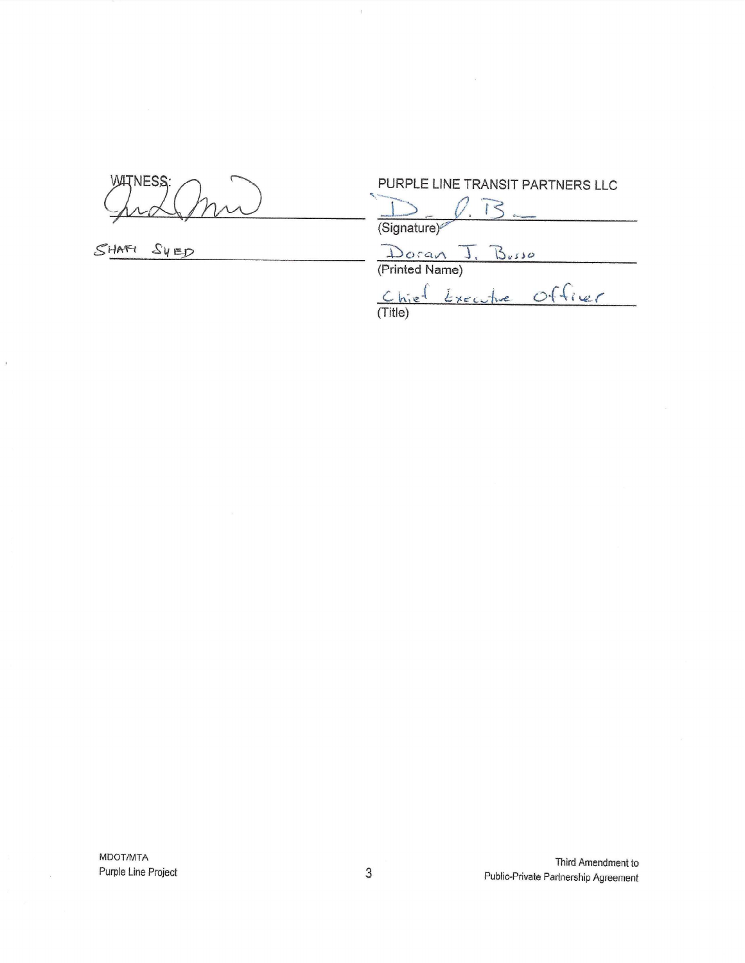**WATNESS** 

SHAFI SYED

 $\mathbf{r}$ 

PURPLE LINE TRANSIT PARTNERS LLC

 $0.73.$ (Signature)

Doran J. Busso<br>(Printed Name)<br>Chief Executive Officer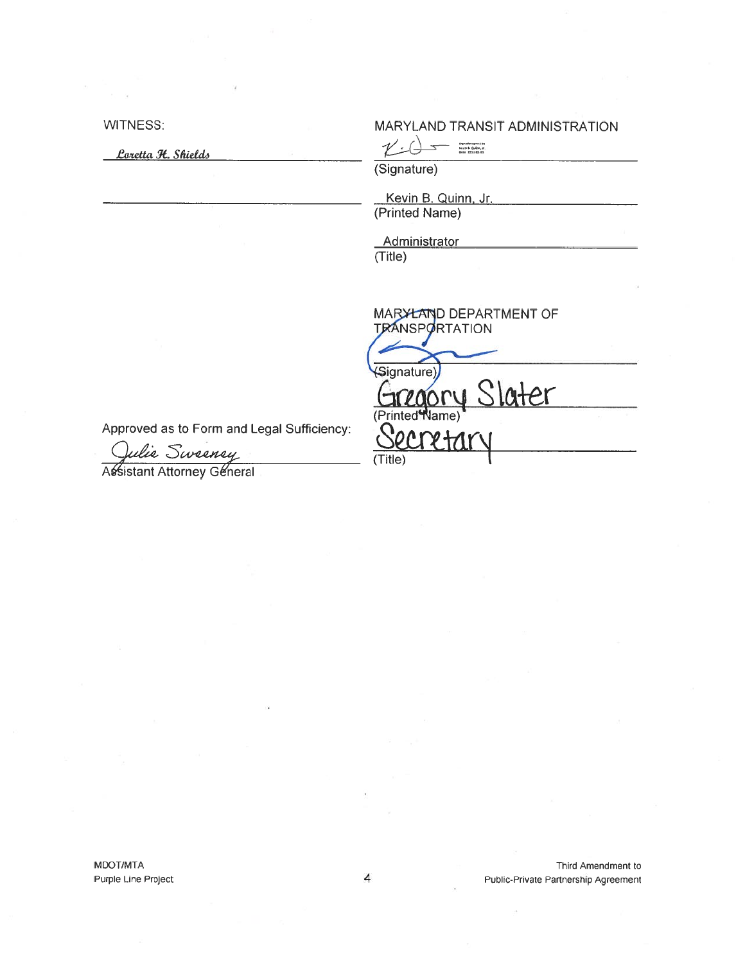**WITNESS:** 

Loretta H. Shields

10.000

MARYLAND TRANSIT ADMINISTRATION

 $\mathcal{V}_\pm$ 

MARYLAND DEPARTMENT OF<br>TRANSPORTATION

ater

(Signature)

Kevin B. Quinn, Jr. (Printed Name)

Administrator  $(Title)$ 

Signature)

(Title)

(Printed<sup>4</sup>Name)

Approved as to Form and Legal Sufficiency:

Julie Sweeney

MDOT/MTA Purple Line Project